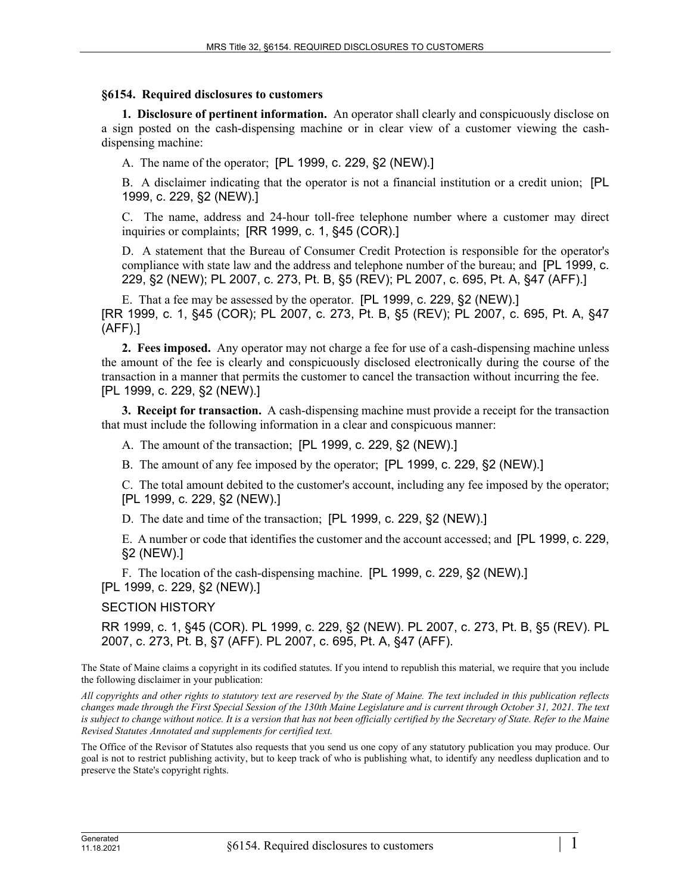## **§6154. Required disclosures to customers**

**1. Disclosure of pertinent information.** An operator shall clearly and conspicuously disclose on a sign posted on the cash-dispensing machine or in clear view of a customer viewing the cashdispensing machine:

A. The name of the operator; [PL 1999, c. 229, §2 (NEW).]

B. A disclaimer indicating that the operator is not a financial institution or a credit union; [PL 1999, c. 229, §2 (NEW).]

C. The name, address and 24-hour toll-free telephone number where a customer may direct inquiries or complaints; [RR 1999, c. 1, §45 (COR).]

D. A statement that the Bureau of Consumer Credit Protection is responsible for the operator's compliance with state law and the address and telephone number of the bureau; and [PL 1999, c. 229, §2 (NEW); PL 2007, c. 273, Pt. B, §5 (REV); PL 2007, c. 695, Pt. A, §47 (AFF).]

E. That a fee may be assessed by the operator. [PL 1999, c. 229, §2 (NEW).] [RR 1999, c. 1, §45 (COR); PL 2007, c. 273, Pt. B, §5 (REV); PL 2007, c. 695, Pt. A, §47 (AFF).]

**2. Fees imposed.** Any operator may not charge a fee for use of a cash-dispensing machine unless the amount of the fee is clearly and conspicuously disclosed electronically during the course of the transaction in a manner that permits the customer to cancel the transaction without incurring the fee. [PL 1999, c. 229, §2 (NEW).]

**3. Receipt for transaction.** A cash-dispensing machine must provide a receipt for the transaction that must include the following information in a clear and conspicuous manner:

A. The amount of the transaction; [PL 1999, c. 229, §2 (NEW).]

B. The amount of any fee imposed by the operator; [PL 1999, c. 229, §2 (NEW).]

C. The total amount debited to the customer's account, including any fee imposed by the operator; [PL 1999, c. 229, §2 (NEW).]

D. The date and time of the transaction; [PL 1999, c. 229, §2 (NEW).]

E. A number or code that identifies the customer and the account accessed; and [PL 1999, c. 229, §2 (NEW).]

F. The location of the cash-dispensing machine. [PL 1999, c. 229, §2 (NEW).] [PL 1999, c. 229, §2 (NEW).]

SECTION HISTORY

RR 1999, c. 1, §45 (COR). PL 1999, c. 229, §2 (NEW). PL 2007, c. 273, Pt. B, §5 (REV). PL 2007, c. 273, Pt. B, §7 (AFF). PL 2007, c. 695, Pt. A, §47 (AFF).

The State of Maine claims a copyright in its codified statutes. If you intend to republish this material, we require that you include the following disclaimer in your publication:

*All copyrights and other rights to statutory text are reserved by the State of Maine. The text included in this publication reflects changes made through the First Special Session of the 130th Maine Legislature and is current through October 31, 2021. The text*  is subject to change without notice. It is a version that has not been officially certified by the Secretary of State. Refer to the Maine *Revised Statutes Annotated and supplements for certified text.*

The Office of the Revisor of Statutes also requests that you send us one copy of any statutory publication you may produce. Our goal is not to restrict publishing activity, but to keep track of who is publishing what, to identify any needless duplication and to preserve the State's copyright rights.